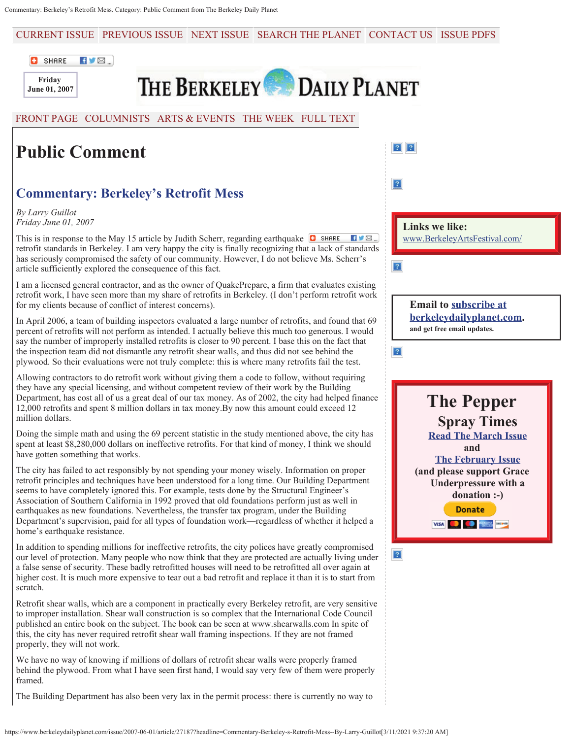CURRENT ISSUE PREVIOUS ISSUE NEXT ISSUE SEARCH THE PLANET CONTACT US ISSUE PDFS





THE BERKELEY DAILY PLANET

## FRONT PAGE COLUMNISTS ARTS & EVENTS THE WEEK FULL TEXT

## **Public Comment**

## **Commentary: Berkeley's Retrofit Mess**

*By Larry Guillot Friday June 01, 2007*

This is in response to the May 15 article by Judith Scherr, regarding earthquake  $\bullet$  share  $\blacksquare$ retrofit standards in Berkeley. I am very happy the city is finally recognizing that a lack of standards has seriously compromised the safety of our community. However, I do not believe Ms. Scherr's article sufficiently explored the consequence of this fact.

I am a licensed general contractor, and as the owner of QuakePrepare, a firm that evaluates existing retrofit work, I have seen more than my share of retrofits in Berkeley. (I don't perform retrofit work for my clients because of conflict of interest concerns).

In April 2006, a team of building inspectors evaluated a large number of retrofits, and found that 69 percent of retrofits will not perform as intended. I actually believe this much too generous. I would say the number of improperly installed retrofits is closer to 90 percent. I base this on the fact that the inspection team did not dismantle any retrofit shear walls, and thus did not see behind the plywood. So their evaluations were not truly complete: this is where many retrofits fail the test.

Allowing contractors to do retrofit work without giving them a code to follow, without requiring they have any special licensing, and without competent review of their work by the Building Department, has cost all of us a great deal of our tax money. As of 2002, the city had helped finance 12,000 retrofits and spent 8 million dollars in tax money.By now this amount could exceed 12 million dollars.

Doing the simple math and using the 69 percent statistic in the study mentioned above, the city has spent at least \$8,280,000 dollars on ineffective retrofits. For that kind of money, I think we should have gotten something that works.

The city has failed to act responsibly by not spending your money wisely. Information on proper retrofit principles and techniques have been understood for a long time. Our Building Department seems to have completely ignored this. For example, tests done by the Structural Engineer's Association of Southern California in 1992 proved that old foundations perform just as well in earthquakes as new foundations. Nevertheless, the transfer tax program, under the Building Department's supervision, paid for all types of foundation work—regardless of whether it helped a home's earthquake resistance.

In addition to spending millions for ineffective retrofits, the city polices have greatly compromised our level of protection. Many people who now think that they are protected are actually living under a false sense of security. These badly retrofitted houses will need to be retrofitted all over again at higher cost. It is much more expensive to tear out a bad retrofit and replace it than it is to start from scratch.

Retrofit shear walls, which are a component in practically every Berkeley retrofit, are very sensitive to improper installation. Shear wall construction is so complex that the International Code Council published an entire book on the subject. The book can be seen at www.shearwalls.com In spite of this, the city has never required retrofit shear wall framing inspections. If they are not framed properly, they will not work.

We have no way of knowing if millions of dollars of retrofit shear walls were properly framed behind the plywood. From what I have seen first hand, I would say very few of them were properly framed.

The Building Department has also been very lax in the permit process: there is currently no way to

| $\overline{?}$                                          |
|---------------------------------------------------------|
|                                                         |
| <b>Links we like:</b><br>www.BerkeleyArtsFestival.com/  |
| $\overline{?}$                                          |
|                                                         |
| <b>Email to subscribe at</b>                            |
| berkeleydailyplanet.com.<br>and get free email updates. |
| $\sqrt{2}$                                              |
|                                                         |
|                                                         |
| <b>The Pepper</b>                                       |
| <b>Spray Times</b>                                      |
| <b>Read The March Issue</b>                             |
| and<br><b>The February Issue</b>                        |
| (and please support Grace                               |
| <b>Underpressure with a</b>                             |
| donation :-)<br><b>Donate</b>                           |
| VISA COMPANY DECEMBER                                   |

 $\boxed{?}$ 

 $\lfloor 2 \rfloor$